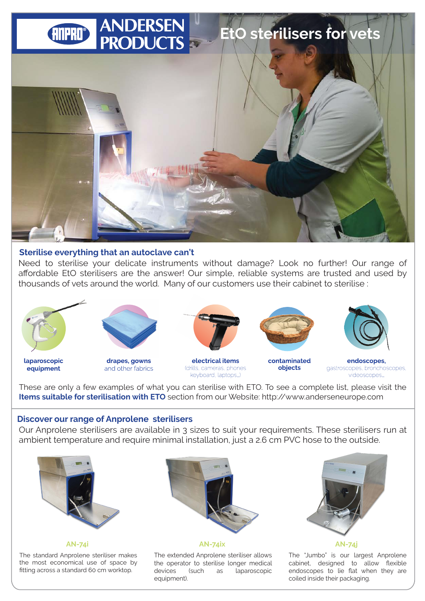

#### **Sterilise everything that an autoclave can't**

Need to sterilise your delicate instruments without damage? Look no further! Our range of affordable EtO sterilisers are the answer! Our simple, reliable systems are trusted and used by thousands of vets around the world. Many of our customers use their cabinet to sterilise :



laparoscopic

equipment







electrical items (drills, cameras, phones keyboard, laptops...)



contaminated objects



endoscopes. gastroscopes, bronchoscopes, videoscopes...

These are only a few examples of what you can sterilise with ETO. To see a complete list, please visit the **Items suitable for sterilisation with ETO** section from our Website: http://www.anderseneurope.com

#### **Discover our range of Anprolene sterilisers**

Our Anprolene sterilisers are available in 3 sizes to suit your requirements. These sterilisers run at ambient temperature and require minimal installation, just a 2.6 cm PVC hose to the outside.



The standard Anprolene steriliser makes the most economical use of space by fitting across a standard 60 cm worktop.



The extended Anprolene steriliser allows the operator to sterilise longer medical devices (such as laparoscopic equipment).



**AN-74i AN-74ix AN-74j**

The "Jumbo" is our largest Anprolene cabinet, designed to allow flexible endoscopes to lie flat when they are coiled inside their packaging.